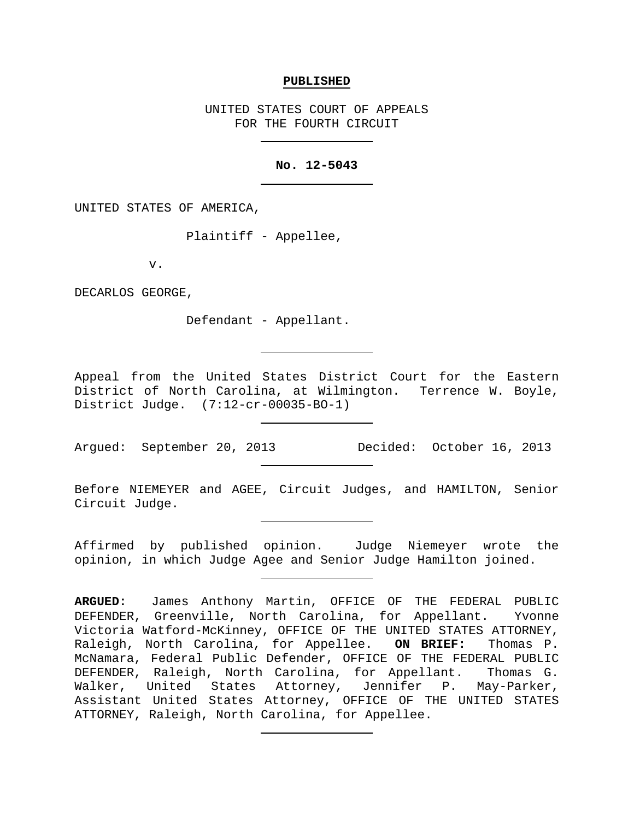## **PUBLISHED**

UNITED STATES COURT OF APPEALS FOR THE FOURTH CIRCUIT

## **No. 12-5043**

UNITED STATES OF AMERICA,

Plaintiff - Appellee,

v.

DECARLOS GEORGE,

Defendant - Appellant.

Appeal from the United States District Court for the Eastern District of North Carolina, at Wilmington. Terrence W. Boyle, District Judge. (7:12-cr-00035-BO-1)

Argued: September 20, 2013 Decided: October 16, 2013

Before NIEMEYER and AGEE, Circuit Judges, and HAMILTON, Senior Circuit Judge.

Affirmed by published opinion. Judge Niemeyer wrote the opinion, in which Judge Agee and Senior Judge Hamilton joined.

**ARGUED:** James Anthony Martin, OFFICE OF THE FEDERAL PUBLIC DEFENDER, Greenville, North Carolina, for Appellant. Yvonne Victoria Watford-McKinney, OFFICE OF THE UNITED STATES ATTORNEY,<br>Raleigh, North Carolina, for Appellee. ON BRIEF: Thomas P. Raleigh, North Carolina, for Appellee. McNamara, Federal Public Defender, OFFICE OF THE FEDERAL PUBLIC DEFENDER, Raleigh, North Carolina, for Appellant. Thomas G. Walker, United States Attorney, Jennifer P. May-Parker, Assistant United States Attorney, OFFICE OF THE UNITED STATES ATTORNEY, Raleigh, North Carolina, for Appellee.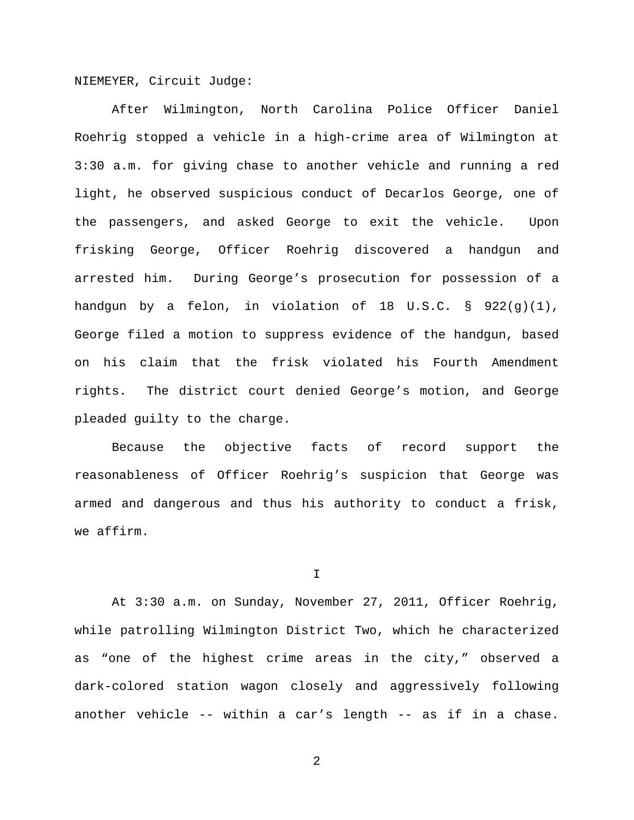NIEMEYER, Circuit Judge:

After Wilmington, North Carolina Police Officer Daniel Roehrig stopped a vehicle in a high-crime area of Wilmington at 3:30 a.m. for giving chase to another vehicle and running a red light, he observed suspicious conduct of Decarlos George, one of the passengers, and asked George to exit the vehicle. Upon frisking George, Officer Roehrig discovered a handgun and arrested him. During George's prosecution for possession of a handgun by a felon, in violation of 18 U.S.C. § 922(g)(1), George filed a motion to suppress evidence of the handgun, based on his claim that the frisk violated his Fourth Amendment rights. The district court denied George's motion, and George pleaded guilty to the charge.

Because the objective facts of record support the reasonableness of Officer Roehrig's suspicion that George was armed and dangerous and thus his authority to conduct a frisk, we affirm.

I

At 3:30 a.m. on Sunday, November 27, 2011, Officer Roehrig, while patrolling Wilmington District Two, which he characterized as "one of the highest crime areas in the city," observed a dark-colored station wagon closely and aggressively following another vehicle -- within a car's length -- as if in a chase.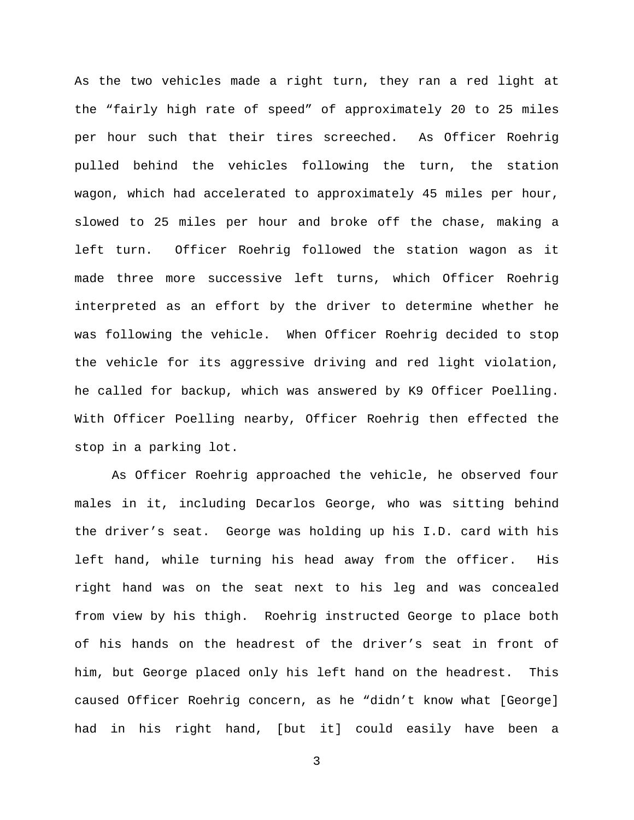As the two vehicles made a right turn, they ran a red light at the "fairly high rate of speed" of approximately 20 to 25 miles per hour such that their tires screeched. As Officer Roehrig pulled behind the vehicles following the turn, the station wagon, which had accelerated to approximately 45 miles per hour, slowed to 25 miles per hour and broke off the chase, making a left turn. Officer Roehrig followed the station wagon as it made three more successive left turns, which Officer Roehrig interpreted as an effort by the driver to determine whether he was following the vehicle. When Officer Roehrig decided to stop the vehicle for its aggressive driving and red light violation, he called for backup, which was answered by K9 Officer Poelling. With Officer Poelling nearby, Officer Roehrig then effected the stop in a parking lot.

As Officer Roehrig approached the vehicle, he observed four males in it, including Decarlos George, who was sitting behind the driver's seat. George was holding up his I.D. card with his left hand, while turning his head away from the officer. His right hand was on the seat next to his leg and was concealed from view by his thigh. Roehrig instructed George to place both of his hands on the headrest of the driver's seat in front of him, but George placed only his left hand on the headrest. This caused Officer Roehrig concern, as he "didn't know what [George] had in his right hand, [but it] could easily have been a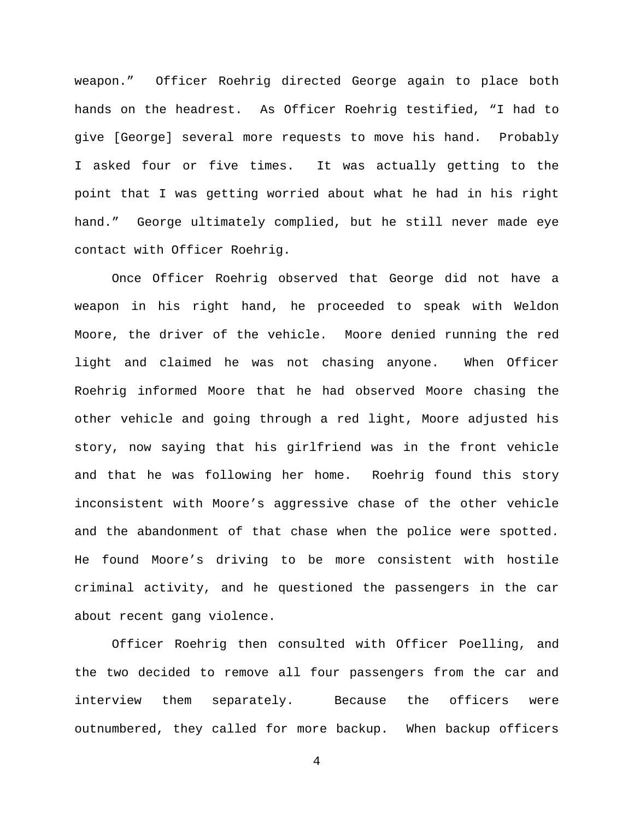weapon." Officer Roehrig directed George again to place both hands on the headrest. As Officer Roehrig testified, "I had to give [George] several more requests to move his hand. Probably I asked four or five times. It was actually getting to the point that I was getting worried about what he had in his right hand." George ultimately complied, but he still never made eye contact with Officer Roehrig.

Once Officer Roehrig observed that George did not have a weapon in his right hand, he proceeded to speak with Weldon Moore, the driver of the vehicle. Moore denied running the red light and claimed he was not chasing anyone. When Officer Roehrig informed Moore that he had observed Moore chasing the other vehicle and going through a red light, Moore adjusted his story, now saying that his girlfriend was in the front vehicle and that he was following her home. Roehrig found this story inconsistent with Moore's aggressive chase of the other vehicle and the abandonment of that chase when the police were spotted. He found Moore's driving to be more consistent with hostile criminal activity, and he questioned the passengers in the car about recent gang violence.

Officer Roehrig then consulted with Officer Poelling, and the two decided to remove all four passengers from the car and interview them separately. Because the officers were outnumbered, they called for more backup. When backup officers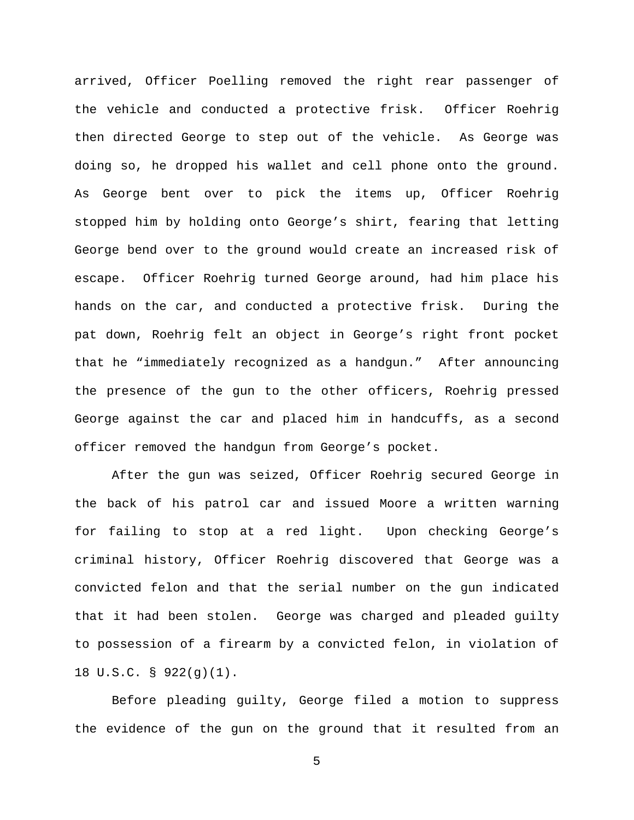arrived, Officer Poelling removed the right rear passenger of the vehicle and conducted a protective frisk. Officer Roehrig then directed George to step out of the vehicle. As George was doing so, he dropped his wallet and cell phone onto the ground. As George bent over to pick the items up, Officer Roehrig stopped him by holding onto George's shirt, fearing that letting George bend over to the ground would create an increased risk of escape. Officer Roehrig turned George around, had him place his hands on the car, and conducted a protective frisk. During the pat down, Roehrig felt an object in George's right front pocket that he "immediately recognized as a handgun." After announcing the presence of the gun to the other officers, Roehrig pressed George against the car and placed him in handcuffs, as a second officer removed the handgun from George's pocket.

After the gun was seized, Officer Roehrig secured George in the back of his patrol car and issued Moore a written warning for failing to stop at a red light. Upon checking George's criminal history, Officer Roehrig discovered that George was a convicted felon and that the serial number on the gun indicated that it had been stolen. George was charged and pleaded guilty to possession of a firearm by a convicted felon, in violation of 18 U.S.C. § 922(g)(1).

Before pleading guilty, George filed a motion to suppress the evidence of the gun on the ground that it resulted from an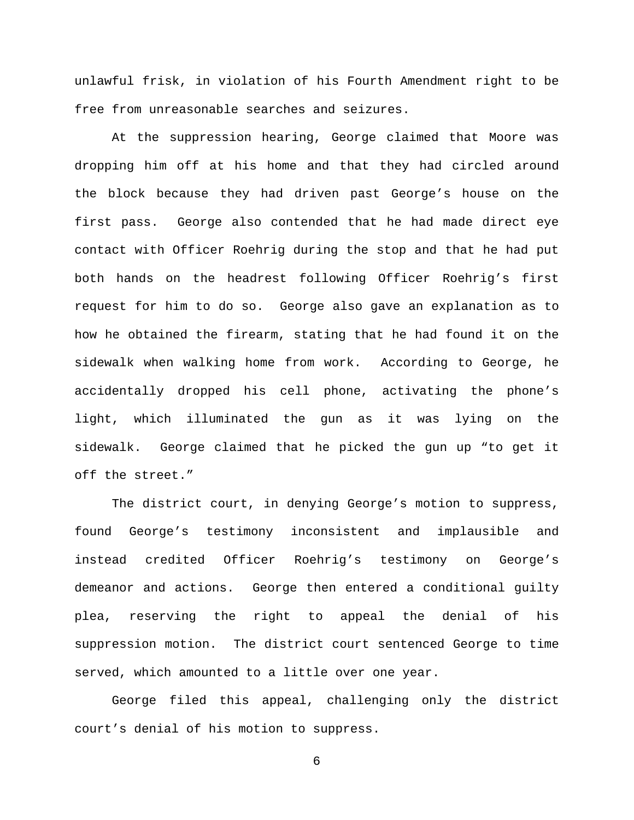unlawful frisk, in violation of his Fourth Amendment right to be free from unreasonable searches and seizures.

At the suppression hearing, George claimed that Moore was dropping him off at his home and that they had circled around the block because they had driven past George's house on the first pass. George also contended that he had made direct eye contact with Officer Roehrig during the stop and that he had put both hands on the headrest following Officer Roehrig's first request for him to do so. George also gave an explanation as to how he obtained the firearm, stating that he had found it on the sidewalk when walking home from work. According to George, he accidentally dropped his cell phone, activating the phone's light, which illuminated the gun as it was lying on the sidewalk. George claimed that he picked the gun up "to get it off the street."

The district court, in denying George's motion to suppress, found George's testimony inconsistent and implausible and instead credited Officer Roehrig's testimony on George's demeanor and actions. George then entered a conditional guilty plea, reserving the right to appeal the denial of his suppression motion. The district court sentenced George to time served, which amounted to a little over one year.

George filed this appeal, challenging only the district court's denial of his motion to suppress.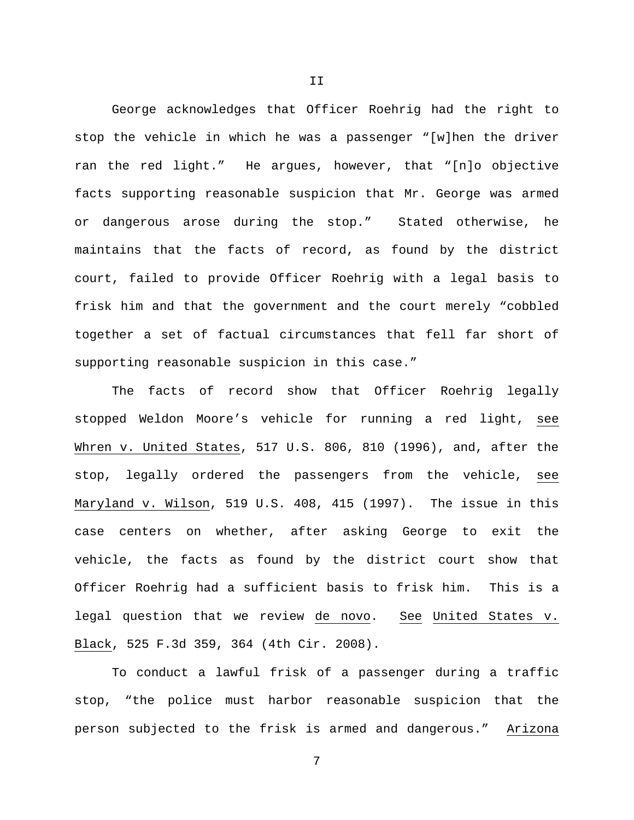George acknowledges that Officer Roehrig had the right to stop the vehicle in which he was a passenger "[w]hen the driver ran the red light." He argues, however, that "[n]o objective facts supporting reasonable suspicion that Mr. George was armed or dangerous arose during the stop." Stated otherwise, he maintains that the facts of record, as found by the district court, failed to provide Officer Roehrig with a legal basis to frisk him and that the government and the court merely "cobbled together a set of factual circumstances that fell far short of supporting reasonable suspicion in this case."

The facts of record show that Officer Roehrig legally stopped Weldon Moore's vehicle for running a red light, see Whren v. United States, 517 U.S. 806, 810 (1996), and, after the stop, legally ordered the passengers from the vehicle, see Maryland v. Wilson, 519 U.S. 408, 415 (1997). The issue in this case centers on whether, after asking George to exit the vehicle, the facts as found by the district court show that Officer Roehrig had a sufficient basis to frisk him. This is a legal question that we review de novo. See United States v. Black, 525 F.3d 359, 364 (4th Cir. 2008).

To conduct a lawful frisk of a passenger during a traffic stop, "the police must harbor reasonable suspicion that the person subjected to the frisk is armed and dangerous." Arizona

7

II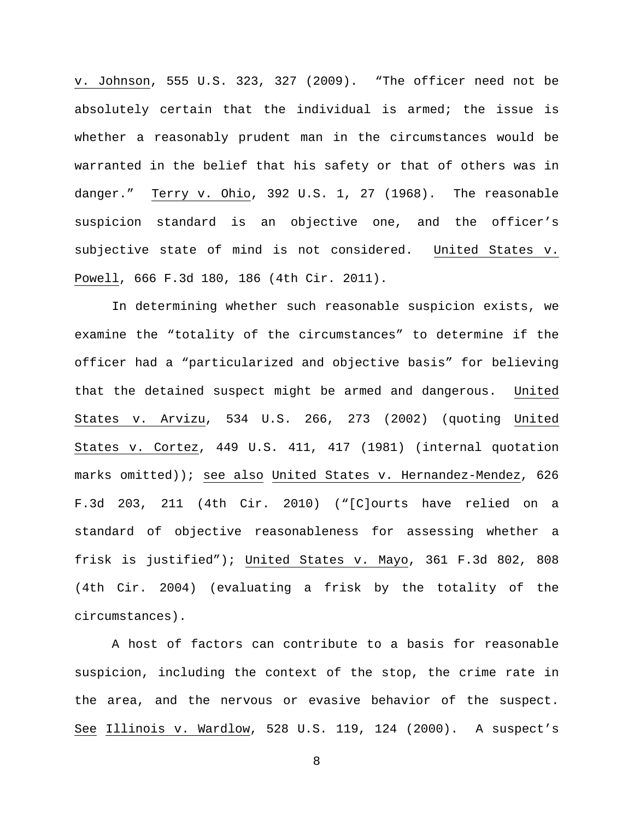v. Johnson, 555 U.S. 323, 327 (2009). "The officer need not be absolutely certain that the individual is armed; the issue is whether a reasonably prudent man in the circumstances would be warranted in the belief that his safety or that of others was in danger." Terry v. Ohio, 392 U.S. 1, 27 (1968). The reasonable suspicion standard is an objective one, and the officer's subjective state of mind is not considered. United States v. Powell, 666 F.3d 180, 186 (4th Cir. 2011).

In determining whether such reasonable suspicion exists, we examine the "totality of the circumstances" to determine if the officer had a "particularized and objective basis" for believing that the detained suspect might be armed and dangerous. United States v. Arvizu, 534 U.S. 266, 273 (2002) (quoting United States v. Cortez, 449 U.S. 411, 417 (1981) (internal quotation marks omitted)); see also United States v. Hernandez-Mendez, 626 F.3d 203, 211 (4th Cir. 2010) ("[C]ourts have relied on a standard of objective reasonableness for assessing whether a frisk is justified"); United States v. Mayo, 361 F.3d 802, 808 (4th Cir. 2004) (evaluating a frisk by the totality of the circumstances).

A host of factors can contribute to a basis for reasonable suspicion, including the context of the stop, the crime rate in the area, and the nervous or evasive behavior of the suspect. See Illinois v. Wardlow, 528 U.S. 119, 124 (2000). A suspect's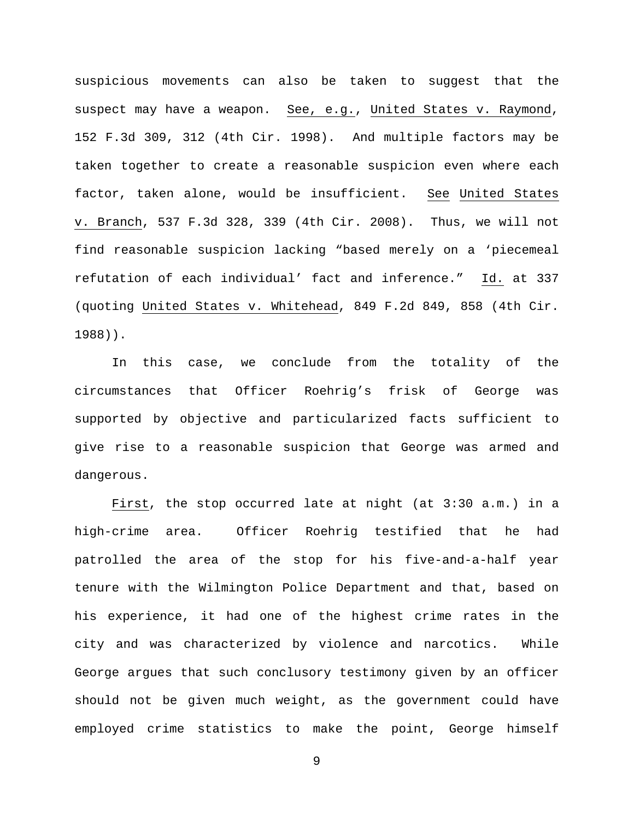suspicious movements can also be taken to suggest that the suspect may have a weapon. See, e.g., United States v. Raymond, 152 F.3d 309, 312 (4th Cir. 1998). And multiple factors may be taken together to create a reasonable suspicion even where each factor, taken alone, would be insufficient. See United States v. Branch, 537 F.3d 328, 339 (4th Cir. 2008). Thus, we will not find reasonable suspicion lacking "based merely on a 'piecemeal refutation of each individual' fact and inference." Id. at 337 (quoting United States v. Whitehead, 849 F.2d 849, 858 (4th Cir. 1988)).

In this case, we conclude from the totality of the circumstances that Officer Roehrig's frisk of George was supported by objective and particularized facts sufficient to give rise to a reasonable suspicion that George was armed and dangerous.

First, the stop occurred late at night (at 3:30 a.m.) in a high-crime area. Officer Roehrig testified that he had patrolled the area of the stop for his five-and-a-half year tenure with the Wilmington Police Department and that, based on his experience, it had one of the highest crime rates in the city and was characterized by violence and narcotics. While George argues that such conclusory testimony given by an officer should not be given much weight, as the government could have employed crime statistics to make the point, George himself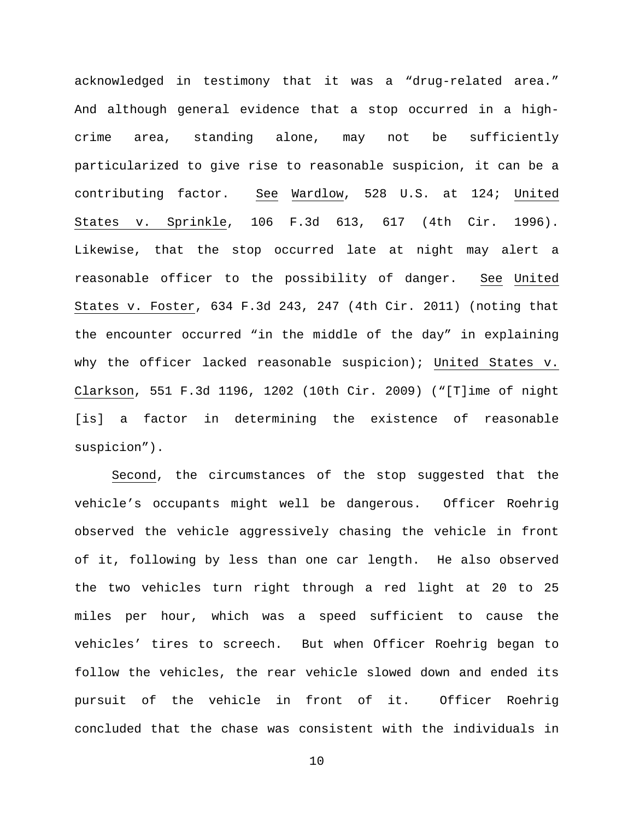acknowledged in testimony that it was a "drug-related area." And although general evidence that a stop occurred in a highcrime area, standing alone, may not be sufficiently particularized to give rise to reasonable suspicion, it can be a contributing factor. See Wardlow, 528 U.S. at 124; United States v. Sprinkle, 106 F.3d 613, 617 (4th Cir. 1996). Likewise, that the stop occurred late at night may alert a reasonable officer to the possibility of danger. See United States v. Foster, 634 F.3d 243, 247 (4th Cir. 2011) (noting that the encounter occurred "in the middle of the day" in explaining why the officer lacked reasonable suspicion); United States v. Clarkson, 551 F.3d 1196, 1202 (10th Cir. 2009) ("[T]ime of night [is] a factor in determining the existence of reasonable suspicion").

Second, the circumstances of the stop suggested that the vehicle's occupants might well be dangerous. Officer Roehrig observed the vehicle aggressively chasing the vehicle in front of it, following by less than one car length. He also observed the two vehicles turn right through a red light at 20 to 25 miles per hour, which was a speed sufficient to cause the vehicles' tires to screech. But when Officer Roehrig began to follow the vehicles, the rear vehicle slowed down and ended its pursuit of the vehicle in front of it. Officer Roehrig concluded that the chase was consistent with the individuals in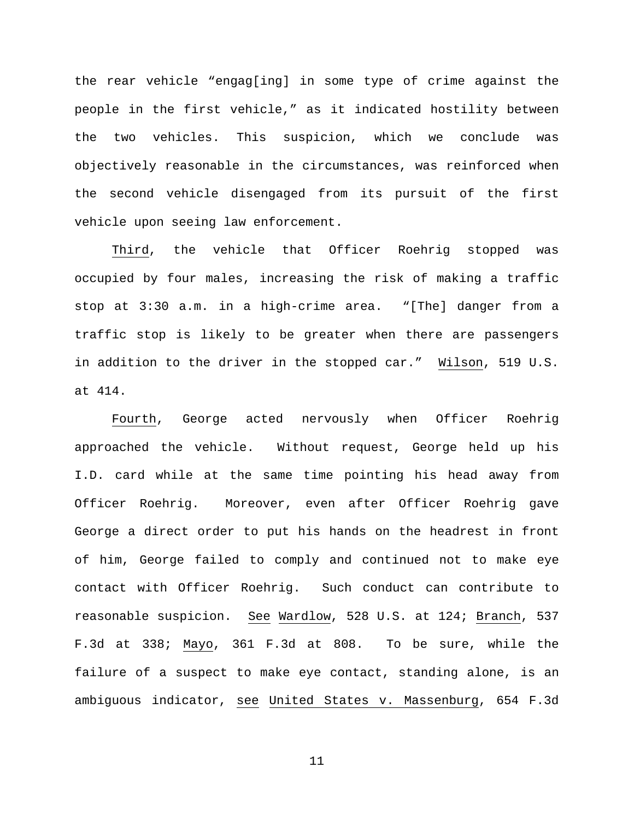the rear vehicle "engag[ing] in some type of crime against the people in the first vehicle," as it indicated hostility between the two vehicles. This suspicion, which we conclude was objectively reasonable in the circumstances, was reinforced when the second vehicle disengaged from its pursuit of the first vehicle upon seeing law enforcement.

Third, the vehicle that Officer Roehrig stopped was occupied by four males, increasing the risk of making a traffic stop at 3:30 a.m. in a high-crime area. "[The] danger from a traffic stop is likely to be greater when there are passengers in addition to the driver in the stopped car." Wilson, 519 U.S. at 414.

Fourth, George acted nervously when Officer Roehrig approached the vehicle. Without request, George held up his I.D. card while at the same time pointing his head away from Officer Roehrig. Moreover, even after Officer Roehrig gave George a direct order to put his hands on the headrest in front of him, George failed to comply and continued not to make eye contact with Officer Roehrig. Such conduct can contribute to reasonable suspicion. See Wardlow, 528 U.S. at 124; Branch, 537 F.3d at 338; Mayo, 361 F.3d at 808. To be sure, while the failure of a suspect to make eye contact, standing alone, is an ambiguous indicator, see United States v. Massenburg, 654 F.3d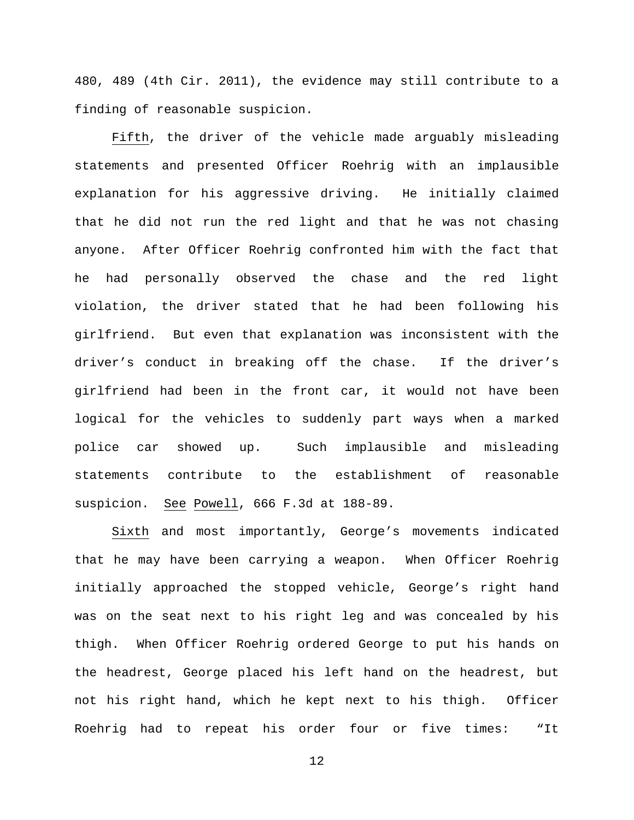480, 489 (4th Cir. 2011), the evidence may still contribute to a finding of reasonable suspicion.

Fifth, the driver of the vehicle made arguably misleading statements and presented Officer Roehrig with an implausible explanation for his aggressive driving. He initially claimed that he did not run the red light and that he was not chasing anyone. After Officer Roehrig confronted him with the fact that he had personally observed the chase and the red light violation, the driver stated that he had been following his girlfriend. But even that explanation was inconsistent with the driver's conduct in breaking off the chase. If the driver's girlfriend had been in the front car, it would not have been logical for the vehicles to suddenly part ways when a marked police car showed up. Such implausible and misleading statements contribute to the establishment of reasonable suspicion. See Powell, 666 F.3d at 188-89.

Sixth and most importantly, George's movements indicated that he may have been carrying a weapon. When Officer Roehrig initially approached the stopped vehicle, George's right hand was on the seat next to his right leg and was concealed by his thigh. When Officer Roehrig ordered George to put his hands on the headrest, George placed his left hand on the headrest, but not his right hand, which he kept next to his thigh. Officer Roehrig had to repeat his order four or five times: "It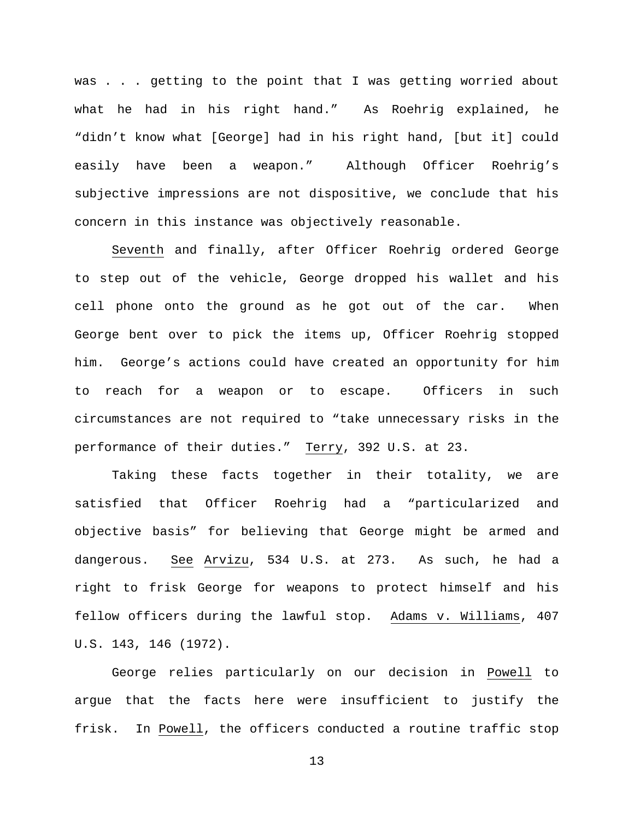was . . . getting to the point that I was getting worried about what he had in his right hand." As Roehrig explained, he "didn't know what [George] had in his right hand, [but it] could easily have been a weapon." Although Officer Roehrig's subjective impressions are not dispositive, we conclude that his concern in this instance was objectively reasonable.

Seventh and finally, after Officer Roehrig ordered George to step out of the vehicle, George dropped his wallet and his cell phone onto the ground as he got out of the car. When George bent over to pick the items up, Officer Roehrig stopped him. George's actions could have created an opportunity for him to reach for a weapon or to escape. Officers in such circumstances are not required to "take unnecessary risks in the performance of their duties." Terry, 392 U.S. at 23.

Taking these facts together in their totality, we are satisfied that Officer Roehrig had a "particularized and objective basis" for believing that George might be armed and dangerous. See Arvizu, 534 U.S. at 273. As such, he had a right to frisk George for weapons to protect himself and his fellow officers during the lawful stop. Adams v. Williams, 407 U.S. 143, 146 (1972).

George relies particularly on our decision in Powell to argue that the facts here were insufficient to justify the frisk. In Powell, the officers conducted a routine traffic stop